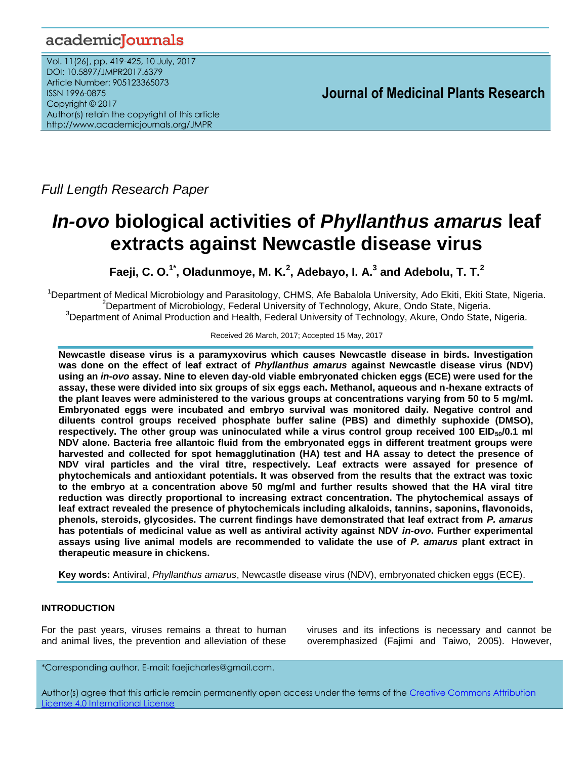# academicJournals

Vol. 11(26), pp. 419-425, 10 July, 2017 DOI: 10.5897/JMPR2017.6379 Article Number: 905123365073 ISSN 1996-0875 Copyright © 2017 Author(s) retain the copyright of this article http://www.academicjournals.org/JMPR

 **Journal of Medicinal Plants Research**

*Full Length Research Paper*

# *In-ovo* **biological activities of** *Phyllanthus amarus* **leaf extracts against Newcastle disease virus**

**Faeji, C. O. 1\* , Oladunmoye, M. K. 2 , Adebayo, I. A. 3 and Adebolu, T. T. 2**

<sup>1</sup>Department of Medical Microbiology and Parasitology, CHMS, Afe Babalola University, Ado Ekiti, Ekiti State, Nigeria. <sup>2</sup>Department of Microbiology, Federal University of Technology, Akure, Ondo State, Nigeria. <sup>3</sup>Department of Animal Production and Health, Federal University of Technology, Akure, Ondo State, Nigeria.

#### Received 26 March, 2017; Accepted 15 May, 2017

**Newcastle disease virus is a paramyxovirus which causes Newcastle disease in birds. Investigation was done on the effect of leaf extract of** *Phyllanthus amarus* **against Newcastle disease virus (NDV) using an** *in-ovo* **assay. Nine to eleven day-old viable embryonated chicken eggs (ECE) were used for the assay, these were divided into six groups of six eggs each. Methanol, aqueous and n-hexane extracts of the plant leaves were administered to the various groups at concentrations varying from 50 to 5 mg/ml. Embryonated eggs were incubated and embryo survival was monitored daily. Negative control and diluents control groups received phosphate buffer saline (PBS) and dimethly suphoxide (DMSO),** respectively. The other group was uninoculated while a virus control group received 100 EID<sub>50</sub>/0.1 ml **NDV alone. Bacteria free allantoic fluid from the embryonated eggs in different treatment groups were harvested and collected for spot hemagglutination (HA) test and HA assay to detect the presence of NDV viral particles and the viral titre, respectively. Leaf extracts were assayed for presence of phytochemicals and antioxidant potentials. It was observed from the results that the extract was toxic to the embryo at a concentration above 50 mg/ml and further results showed that the HA viral titre reduction was directly proportional to increasing extract concentration. The phytochemical assays of leaf extract revealed the presence of phytochemicals including alkaloids, tannins, saponins, flavonoids, phenols, steroids, glycosides. The current findings have demonstrated that leaf extract from** *P. amarus* **has potentials of medicinal value as well as antiviral activity against NDV** *in-ovo***. Further experimental assays using live animal models are recommended to validate the use of** *P. amarus* **plant extract in therapeutic measure in chickens.**

**Key words:** Antiviral, *Phyllanthus amarus*, Newcastle disease virus (NDV), embryonated chicken eggs (ECE).

# **INTRODUCTION**

For the past years, viruses remains a threat to human and animal lives, the prevention and alleviation of these

viruses and its infections is necessary and cannot be overemphasized (Fajimi and Taiwo, 2005). However,

\*Corresponding author. E-mail: faejicharles@gmail.com.

Author(s) agree that this article remain permanently open access under the terms of the Creative Commons [Attribution](http://creativecommons.org/licenses/by/4.0/deed.en_US)  License 4.0 [International](http://creativecommons.org/licenses/by/4.0/deed.en_US) License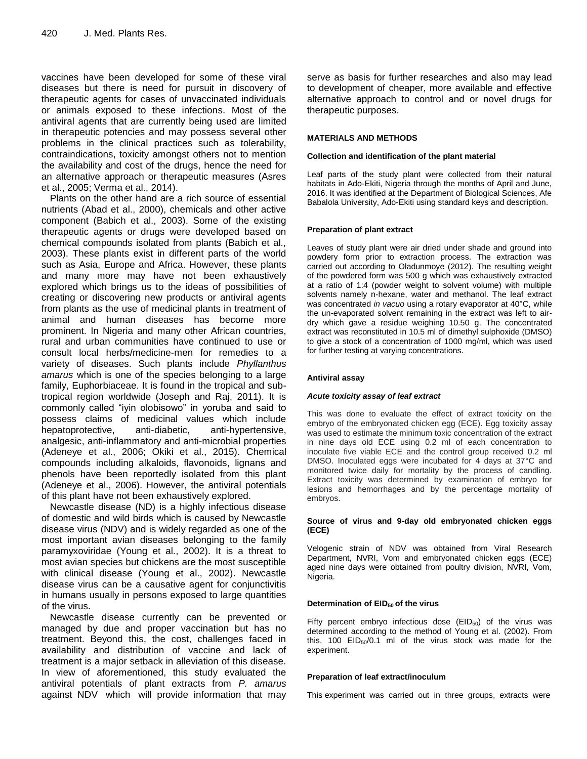vaccines have been developed for some of these viral diseases but there is need for pursuit in discovery of therapeutic agents for cases of unvaccinated individuals or animals exposed to these infections. Most of the antiviral agents that are currently being used are limited in therapeutic potencies and may possess several other problems in the clinical practices such as tolerability, contraindications, toxicity amongst others not to mention the availability and cost of the drugs, hence the need for an alternative approach or therapeutic measures (Asres et al., 2005; Verma et al., 2014).

Plants on the other hand are a rich source of essential nutrients (Abad et al., 2000), chemicals and other active component (Babich et al., 2003). Some of the existing therapeutic agents or drugs were developed based on chemical compounds isolated from plants (Babich et al., 2003). These plants exist in different parts of the world such as Asia, Europe and Africa. However, these plants and many more may have not been exhaustively explored which brings us to the ideas of possibilities of creating or discovering new products or antiviral agents from plants as the use of medicinal plants in treatment of animal and human diseases has become more prominent. In Nigeria and many other African countries, rural and urban communities have continued to use or consult local herbs/medicine-men for remedies to a variety of diseases. Such plants include *Phyllanthus amarus* which is one of the species belonging to a large family, Euphorbiaceae. It is found in the tropical and subtropical region worldwide (Joseph and Raj, 2011). It is commonly called "iyin olobisowo" in yoruba and said to possess claims of medicinal values which include hepatoprotective, anti-diabetic, anti-hypertensive, analgesic, anti-inflammatory and anti-microbial properties (Adeneye et al., 2006; Okiki et al., 2015). Chemical compounds including alkaloids, flavonoids, lignans and phenols have been reportedly isolated from this plant (Adeneye et al., 2006). However, the antiviral potentials of this plant have not been exhaustively explored.

Newcastle disease (ND) is a highly infectious disease of domestic and wild birds which is caused by Newcastle disease virus (NDV) and is widely regarded as one of the most important avian diseases belonging to the family paramyxoviridae (Young et al., 2002). It is a threat to most avian species but chickens are the most susceptible with clinical disease (Young et al., 2002). Newcastle disease virus can be a causative agent for conjunctivitis in humans usually in persons exposed to large quantities of the virus.

Newcastle disease currently can be prevented or managed by due and proper vaccination but has no treatment. Beyond this, the cost, challenges faced in availability and distribution of vaccine and lack of treatment is a major setback in alleviation of this disease. In view of aforementioned, this study evaluated the antiviral potentials of plant extracts from *P. amarus* against NDV which will provide information that may serve as basis for further researches and also may lead to development of cheaper, more available and effective alternative approach to control and or novel drugs for therapeutic purposes.

## **MATERIALS AND METHODS**

#### **Collection and identification of the plant material**

Leaf parts of the study plant were collected from their natural habitats in Ado-Ekiti, Nigeria through the months of April and June, 2016. It was identified at the Department of Biological Sciences, Afe Babalola University, Ado-Ekiti using standard keys and description.

#### **Preparation of plant extract**

Leaves of study plant were air dried under shade and ground into powdery form prior to extraction process. The extraction was carried out according to Oladunmoye (2012). The resulting weight of the powdered form was 500 g which was exhaustively extracted at a ratio of 1:4 (powder weight to solvent volume) with multiple solvents namely n-hexane, water and methanol. The leaf extract was concentrated *in vacuo* using a rotary evaporator at 40°C, while the un-evaporated solvent remaining in the extract was left to airdry which gave a residue weighing 10.50 g. The concentrated extract was reconstituted in 10.5 ml of dimethyl sulphoxide (DMSO) to give a stock of a concentration of 1000 mg/ml, which was used for further testing at varying concentrations.

#### **Antiviral assay**

#### *Acute toxicity assay of leaf extract*

This was done to evaluate the effect of extract toxicity on the embryo of the embryonated chicken egg (ECE). Egg toxicity assay was used to estimate the minimum toxic concentration of the extract in nine days old ECE using 0.2 ml of each concentration to inoculate five viable ECE and the control group received 0.2 ml DMSO. Inoculated eggs were incubated for 4 days at 37°C and monitored twice daily for mortality by the process of candling. Extract toxicity was determined by examination of embryo for lesions and hemorrhages and by the percentage mortality of embryos.

#### **Source of virus and 9-day old embryonated chicken eggs (ECE)**

Velogenic strain of NDV was obtained from Viral Research Department, NVRI, Vom and embryonated chicken eggs (ECE) aged nine days were obtained from poultry division, NVRI, Vom, Nigeria.

#### **Determination of EID50 of the virus**

Fifty percent embryo infectious dose  $(EID<sub>50</sub>)$  of the virus was determined according to the method of Young et al. (2002). From this, 100  $EID_{50}/0.1$  ml of the virus stock was made for the experiment.

#### **Preparation of leaf extract/inoculum**

This experiment was carried out in three groups, extracts were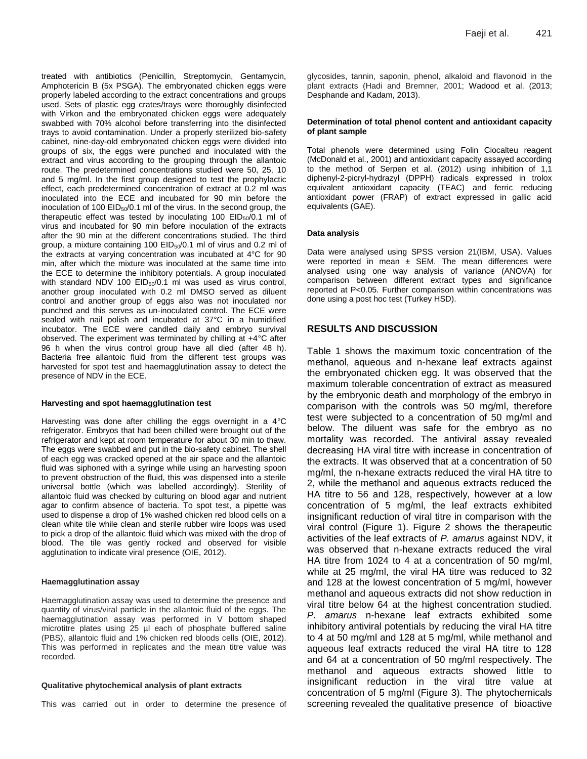treated with antibiotics (Penicillin, Streptomycin, Gentamycin, Amphotericin B (5x PSGA). The embryonated chicken eggs were properly labeled according to the extract concentrations and groups used. Sets of plastic egg crates/trays were thoroughly disinfected with Virkon and the embryonated chicken eggs were adequately swabbed with 70% alcohol before transferring into the disinfected trays to avoid contamination. Under a properly sterilized bio-safety cabinet, nine-day-old embryonated chicken eggs were divided into groups of six, the eggs were punched and inoculated with the extract and virus according to the grouping through the allantoic route. The predetermined concentrations studied were 50, 25, 10 and 5 mg/ml. In the first group designed to test the prophylactic effect, each predetermined concentration of extract at 0.2 ml was inoculated into the ECE and incubated for 90 min before the inoculation of 100  $EID_{50}/0.1$  ml of the virus. In the second group, the therapeutic effect was tested by inoculating 100  $EID_{50}/0.1$  ml of virus and incubated for 90 min before inoculation of the extracts after the 90 min at the different concentrations studied. The third group, a mixture containing 100  $EID<sub>50</sub>/0.1$  ml of virus and 0.2 ml of the extracts at varying concentration was incubated at 4°C for 90 min, after which the mixture was inoculated at the same time into the ECE to determine the inhibitory potentials. A group inoculated with standard NDV 100 EID<sub>50</sub>/0.1 ml was used as virus control, another group inoculated with 0.2 ml DMSO served as diluent control and another group of eggs also was not inoculated nor punched and this serves as un-inoculated control. The ECE were sealed with nail polish and incubated at 37°C in a humidified incubator. The ECE were candled daily and embryo survival observed. The experiment was terminated by chilling at +4°C after 96 h when the virus control group have all died (after 48 h). Bacteria free allantoic fluid from the different test groups was harvested for spot test and haemagglutination assay to detect the presence of NDV in the ECE.

#### **Harvesting and spot haemagglutination test**

Harvesting was done after chilling the eggs overnight in a 4°C refrigerator. Embryos that had been chilled were brought out of the refrigerator and kept at room temperature for about 30 min to thaw. The eggs were swabbed and put in the bio-safety cabinet. The shell of each egg was cracked opened at the air space and the allantoic fluid was siphoned with a syringe while using an harvesting spoon to prevent obstruction of the fluid, this was dispensed into a sterile universal bottle (which was labelled accordingly). Sterility of allantoic fluid was checked by culturing on blood agar and nutrient agar to confirm absence of bacteria. To spot test, a pipette was used to dispense a drop of 1% washed chicken red blood cells on a clean white tile while clean and sterile rubber wire loops was used to pick a drop of the allantoic fluid which was mixed with the drop of blood. The tile was gently rocked and observed for visible agglutination to indicate viral presence (OIE, 2012).

#### **Haemagglutination assay**

Haemagglutination assay was used to determine the presence and quantity of virus/viral particle in the allantoic fluid of the eggs. The haemagglutination assay was performed in V bottom shaped microtitre plates using 25 µl each of phosphate buffered saline (PBS), allantoic fluid and 1% chicken red bloods cells (OIE, 2012). This was performed in replicates and the mean titre value was recorded.

#### **Qualitative phytochemical analysis of plant extracts**

This was carried out in order to determine the presence of

glycosides, tannin, saponin, phenol, alkaloid and flavonoid in the plant extracts (Hadi and Bremner, 2001; Wadood et al. (2013; Desphande and Kadam, 2013).

#### **Determination of total phenol content and antioxidant capacity of plant sample**

Total phenols were determined using Folin Ciocalteu reagent (McDonald et al., 2001) and antioxidant capacity assayed according to the method of Serpen et al. (2012) using inhibition of 1,1 diphenyl-2-picryl-hydrazyl (DPPH) radicals expressed in trolox equivalent antioxidant capacity (TEAC) and ferric reducing antioxidant power (FRAP) of extract expressed in gallic acid equivalents (GAE).

#### **Data analysis**

Data were analysed using SPSS version 21(IBM, USA). Values were reported in mean  $\pm$  SEM. The mean differences were analysed using one way analysis of variance (ANOVA) for comparison between different extract types and significance reported at P<0.05. Further comparison within concentrations was done using a post hoc test (Turkey HSD).

## **RESULTS AND DISCUSSION**

Table 1 shows the maximum toxic concentration of the methanol, aqueous and n-hexane leaf extracts against the embryonated chicken egg. It was observed that the maximum tolerable concentration of extract as measured by the embryonic death and morphology of the embryo in comparison with the controls was 50 mg/ml, therefore test were subjected to a concentration of 50 mg/ml and below. The diluent was safe for the embryo as no mortality was recorded. The antiviral assay revealed decreasing HA viral titre with increase in concentration of the extracts. It was observed that at a concentration of 50 mg/ml, the n-hexane extracts reduced the viral HA titre to 2, while the methanol and aqueous extracts reduced the HA titre to 56 and 128, respectively, however at a low concentration of 5 mg/ml, the leaf extracts exhibited insignificant reduction of viral titre in comparison with the viral control (Figure 1). Figure 2 shows the therapeutic activities of the leaf extracts of *P. amarus* against NDV, it was observed that n-hexane extracts reduced the viral HA titre from 1024 to 4 at a concentration of 50 mg/ml, while at 25 mg/ml, the viral HA titre was reduced to 32 and 128 at the lowest concentration of 5 mg/ml, however methanol and aqueous extracts did not show reduction in viral titre below 64 at the highest concentration studied. *P. amarus* n-hexane leaf extracts exhibited some inhibitory antiviral potentials by reducing the viral HA titre to 4 at 50 mg/ml and 128 at 5 mg/ml, while methanol and aqueous leaf extracts reduced the viral HA titre to 128 and 64 at a concentration of 50 mg/ml respectively. The methanol and aqueous extracts showed little to insignificant reduction in the viral titre value at concentration of 5 mg/ml (Figure 3). The phytochemicals screening revealed the qualitative presence of bioactive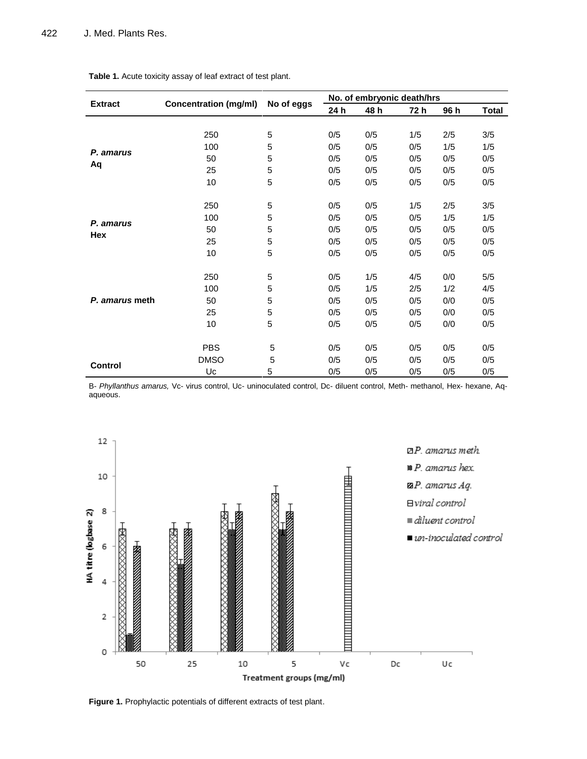|                | <b>Concentration (mg/ml)</b> | No of eggs | No. of embryonic death/hrs |            |            |            |              |
|----------------|------------------------------|------------|----------------------------|------------|------------|------------|--------------|
| <b>Extract</b> |                              |            | 24 h                       | 48 h       | 72 h       | 96 h       | <b>Total</b> |
|                |                              |            |                            |            |            |            |              |
|                | 250                          | 5          | 0/5                        | 0/5        | 1/5        | 2/5        | 3/5          |
| P. amarus      | 100                          | 5          | 0/5                        | 0/5        | 0/5        | 1/5        | 1/5          |
|                | 50                           | 5          | 0/5                        | 0/5        | 0/5        | 0/5        | 0/5          |
| Aq             | 25                           | 5          | 0/5                        | 0/5        | 0/5        | 0/5        | 0/5          |
|                | 10                           | 5          | 0/5                        | 0/5        | 0/5        | 0/5        | 0/5          |
|                |                              |            |                            |            |            |            |              |
|                | 250                          | 5          | 0/5                        | 0/5        | 1/5        | 2/5        | 3/5          |
| P. amarus      | 100                          | 5          | 0/5                        | 0/5        | 0/5        | 1/5        | 1/5          |
| Hex            | 50                           | 5          | 0/5                        | 0/5        | 0/5        | 0/5        | 0/5          |
|                | 25                           | 5          | 0/5                        | 0/5        | 0/5        | 0/5        | 0/5          |
|                | 10                           | 5          | 0/5                        | 0/5        | 0/5        | 0/5        | 0/5          |
|                | 250                          | 5          | 0/5                        | 1/5        | 4/5        | 0/0        | 5/5          |
|                | 100                          | 5          | 0/5                        | 1/5        | 2/5        | 1/2        | 4/5          |
| P. amarus meth | 50                           | 5          | 0/5                        | 0/5        | 0/5        | 0/0        | 0/5          |
|                | 25                           | 5          | 0/5                        | 0/5        | 0/5        | 0/0        | 0/5          |
|                | 10                           | 5          | 0/5                        | 0/5        | 0/5        | 0/0        | 0/5          |
|                | <b>PBS</b>                   | 5          | 0/5                        | 0/5        | 0/5        | 0/5        | 0/5          |
|                | <b>DMSO</b>                  | 5          | 0/5                        |            |            |            |              |
| <b>Control</b> | Uc                           | 5          | 0/5                        | 0/5<br>0/5 | 0/5<br>0/5 | 0/5<br>0/5 | 0/5<br>0/5   |
|                |                              |            |                            |            |            |            |              |

**Table 1.** Acute toxicity assay of leaf extract of test plant.

B- *Phyllanthus amarus,* Vc- virus control, Uc- uninoculated control, Dc- diluent control, Meth- methanol, Hex- hexane, Aqaqueous.



**Figure 1.** Prophylactic potentials of different extracts of test plant.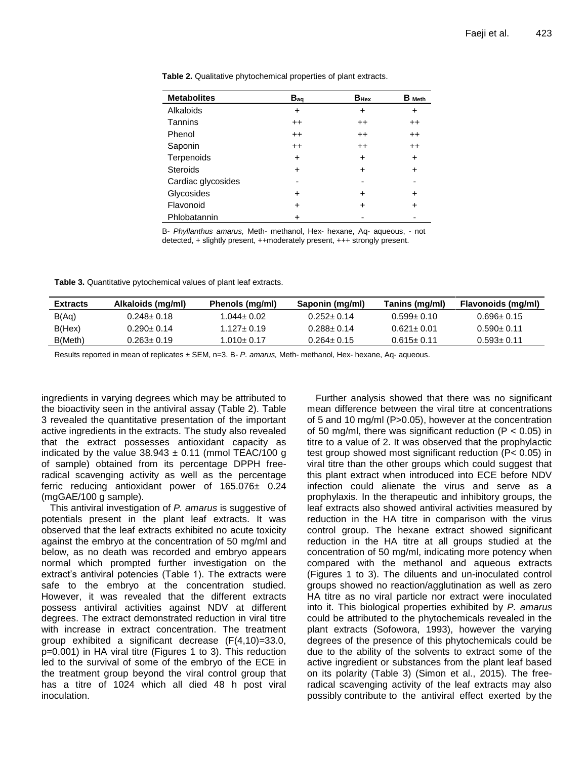| <b>Metabolites</b> | $B_{aq}$        | $B_{\text{Hex}}$ | $B_{Meth}$ |
|--------------------|-----------------|------------------|------------|
| Alkaloids          | $\div$          | +                | ÷          |
| Tannins            | $^{\mathrm{+}}$ | $^{\mathrm{+}}$  | $^{++}$    |
| Phenol             | $^{\mathrm{+}}$ | $^{\mathrm{+}}$  | $^{++}$    |
| Saponin            | $++$            | $^{\mathrm{+}}$  | $^{++}$    |
| Terpenoids         | +               | +                | $\ddot{}$  |
| <b>Steroids</b>    | $\div$          | +                | $\pm$      |
| Cardiac glycosides |                 |                  |            |
| Glycosides         | ٠               | +                | +          |
| Flavonoid          | +               | +                |            |
| Phlobatannin       |                 |                  |            |

**Table 2.** Qualitative phytochemical properties of plant extracts.

B- *Phyllanthus amarus,* Meth- methanol, Hex- hexane, Aq- aqueous, - not detected, + slightly present, ++moderately present, +++ strongly present.

**Table 3.** Quantitative pytochemical values of plant leaf extracts.

| <b>Extracts</b> | Alkaloids (mg/ml) | Phenols (mg/ml) | Saponin (mg/ml)  | Tanins (mg/ml)   | Flavonoids (mg/ml) |
|-----------------|-------------------|-----------------|------------------|------------------|--------------------|
| B(Aq)           | $0.248 \pm 0.18$  | 1.044± 0.02     | $0.252 \pm 0.14$ | $0.599 \pm 0.10$ | $0.696 \pm 0.15$   |
| B(Hex)          | $0.290 + 0.14$    | $1.127 + 0.19$  | $0.288 + 0.14$   | $0.621 + 0.01$   | $0.590 + 0.11$     |
| B(Meth)         | 0.263± 0.19       | 1.010± 0.17     | $0.264 \pm 0.15$ | $0.615 \pm 0.11$ | $0.593 + 0.11$     |

Results reported in mean of replicates ± SEM, n=3. B- *P. amarus,* Meth- methanol, Hex- hexane, Aq- aqueous.

ingredients in varying degrees which may be attributed to the bioactivity seen in the antiviral assay (Table 2). Table 3 revealed the quantitative presentation of the important active ingredients in the extracts. The study also revealed that the extract possesses antioxidant capacity as indicated by the value  $38.943 \pm 0.11$  (mmol TEAC/100 g of sample) obtained from its percentage DPPH freeradical scavenging activity as well as the percentage ferric reducing antioxidant power of 165.076± 0.24 (mgGAE/100 g sample).

This antiviral investigation of *P. amarus* is suggestive of potentials present in the plant leaf extracts. It was observed that the leaf extracts exhibited no acute toxicity against the embryo at the concentration of 50 mg/ml and below, as no death was recorded and embryo appears normal which prompted further investigation on the extract's antiviral potencies (Table 1). The extracts were safe to the embryo at the concentration studied. However, it was revealed that the different extracts possess antiviral activities against NDV at different degrees. The extract demonstrated reduction in viral titre with increase in extract concentration. The treatment group exhibited a significant decrease (F(4,10)=33.0, p=0.001) in HA viral titre (Figures 1 to 3). This reduction led to the survival of some of the embryo of the ECE in the treatment group beyond the viral control group that has a titre of 1024 which all died 48 h post viral inoculation.

Further analysis showed that there was no significant mean difference between the viral titre at concentrations of 5 and 10 mg/ml (P>0.05), however at the concentration of 50 mg/ml, there was significant reduction ( $P < 0.05$ ) in titre to a value of 2. It was observed that the prophylactic test group showed most significant reduction (P< 0.05) in viral titre than the other groups which could suggest that this plant extract when introduced into ECE before NDV infection could alienate the virus and serve as a prophylaxis. In the therapeutic and inhibitory groups, the leaf extracts also showed antiviral activities measured by reduction in the HA titre in comparison with the virus control group. The hexane extract showed significant reduction in the HA titre at all groups studied at the concentration of 50 mg/ml, indicating more potency when compared with the methanol and aqueous extracts (Figures 1 to 3). The diluents and un-inoculated control groups showed no reaction/agglutination as well as zero HA titre as no viral particle nor extract were inoculated into it. This biological properties exhibited by *P. amarus*  could be attributed to the phytochemicals revealed in the plant extracts (Sofowora, 1993), however the varying degrees of the presence of this phytochemicals could be due to the ability of the solvents to extract some of the active ingredient or substances from the plant leaf based on its polarity (Table 3) (Simon et al., 2015). The freeradical scavenging activity of the leaf extracts may also possibly contribute to the antiviral effect exerted by the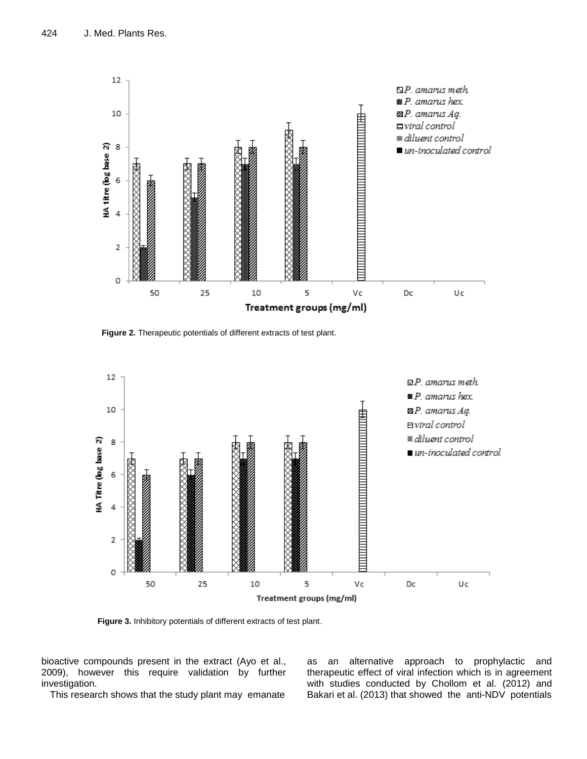

**Figure 2.** Therapeutic potentials of different extracts of test plant.



**Figure 3.** Inhibitory potentials of different extracts of test plant.

bioactive compounds present in the extract (Ayo et al., 2009), however this require validation by further investigation.

This research shows that the study plant may emanate

as an alternative approach to prophylactic and therapeutic effect of viral infection which is in agreement with studies conducted by Chollom et al. (2012) and Bakari et al. (2013) that showed the anti-NDV potentials